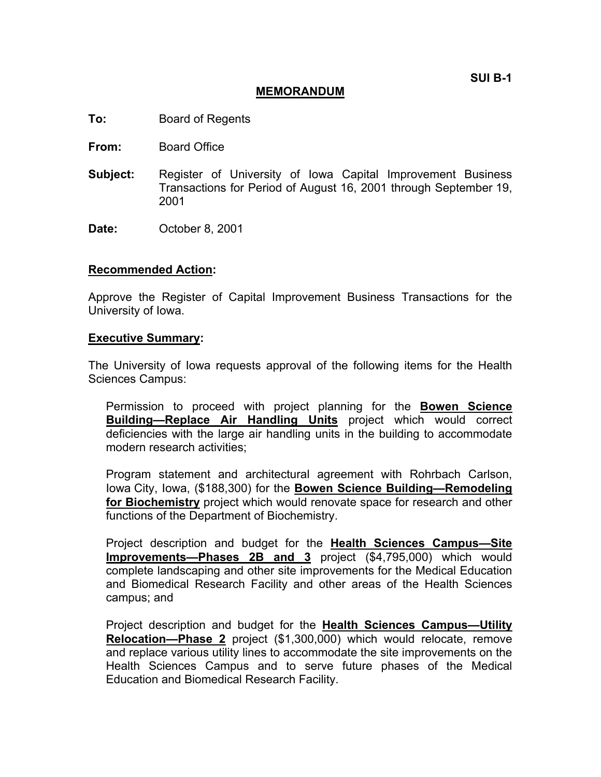**SUI B-1** 

#### **MEMORANDUM**

- **To:** Board of Regents
- **From:** Board Office
- **Subject:** Register of University of Iowa Capital Improvement Business Transactions for Period of August 16, 2001 through September 19, 2001
- **Date:** October 8, 2001

#### **Recommended Action:**

Approve the Register of Capital Improvement Business Transactions for the University of Iowa.

#### **Executive Summary:**

The University of Iowa requests approval of the following items for the Health Sciences Campus:

Permission to proceed with project planning for the **Bowen Science Building—Replace Air Handling Units** project which would correct deficiencies with the large air handling units in the building to accommodate modern research activities;

Program statement and architectural agreement with Rohrbach Carlson, Iowa City, Iowa, (\$188,300) for the **Bowen Science Building—Remodeling for Biochemistry** project which would renovate space for research and other functions of the Department of Biochemistry.

Project description and budget for the **Health Sciences Campus—Site Improvements—Phases 2B and 3** project (\$4,795,000) which would complete landscaping and other site improvements for the Medical Education and Biomedical Research Facility and other areas of the Health Sciences campus; and

Project description and budget for the **Health Sciences Campus—Utility Relocation—Phase 2** project (\$1,300,000) which would relocate, remove and replace various utility lines to accommodate the site improvements on the Health Sciences Campus and to serve future phases of the Medical Education and Biomedical Research Facility.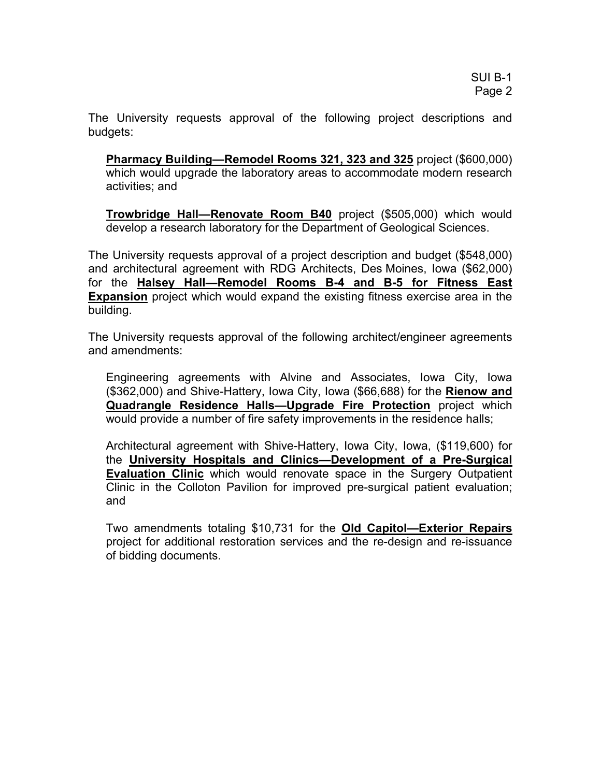The University requests approval of the following project descriptions and budgets:

**Pharmacy Building—Remodel Rooms 321, 323 and 325** project (\$600,000) which would upgrade the laboratory areas to accommodate modern research activities; and

**Trowbridge Hall—Renovate Room B40** project (\$505,000) which would develop a research laboratory for the Department of Geological Sciences.

The University requests approval of a project description and budget (\$548,000) and architectural agreement with RDG Architects, Des Moines, Iowa (\$62,000) for the **Halsey Hall—Remodel Rooms B-4 and B-5 for Fitness East Expansion** project which would expand the existing fitness exercise area in the building.

The University requests approval of the following architect/engineer agreements and amendments:

Engineering agreements with Alvine and Associates, Iowa City, Iowa (\$362,000) and Shive-Hattery, Iowa City, Iowa (\$66,688) for the **Rienow and Quadrangle Residence Halls—Upgrade Fire Protection** project which would provide a number of fire safety improvements in the residence halls;

Architectural agreement with Shive-Hattery, Iowa City, Iowa, (\$119,600) for the **University Hospitals and Clinics—Development of a Pre-Surgical Evaluation Clinic** which would renovate space in the Surgery Outpatient Clinic in the Colloton Pavilion for improved pre-surgical patient evaluation; and

Two amendments totaling \$10,731 for the **Old Capitol—Exterior Repairs** project for additional restoration services and the re-design and re-issuance of bidding documents.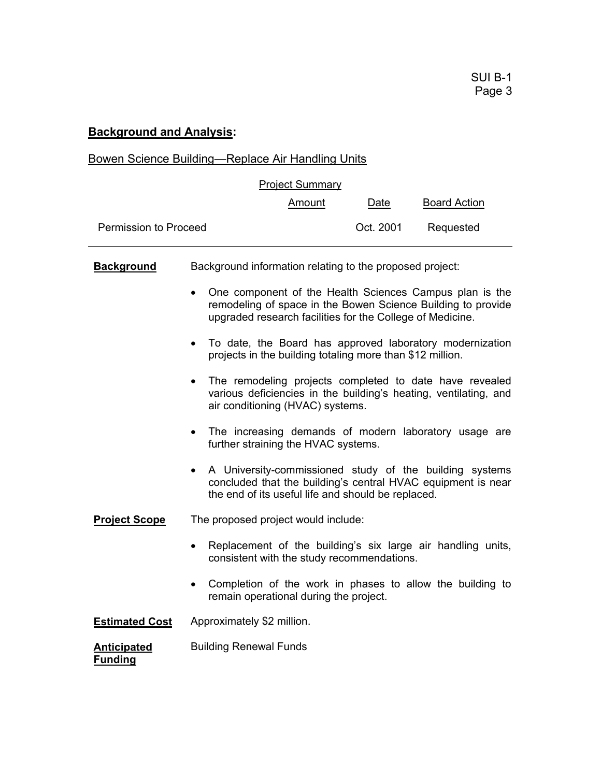# **Background and Analysis:**

# Bowen Science Building—Replace Air Handling Units

| <b>Project Summary</b>               |                                                          |                                                                                                                                                                 |           |                                                                                                                         |  |
|--------------------------------------|----------------------------------------------------------|-----------------------------------------------------------------------------------------------------------------------------------------------------------------|-----------|-------------------------------------------------------------------------------------------------------------------------|--|
|                                      |                                                          | <u>Amount</u>                                                                                                                                                   | Date      | <b>Board Action</b>                                                                                                     |  |
| Permission to Proceed                |                                                          |                                                                                                                                                                 | Oct. 2001 | Requested                                                                                                               |  |
| <b>Background</b>                    | Background information relating to the proposed project: |                                                                                                                                                                 |           |                                                                                                                         |  |
|                                      |                                                          | upgraded research facilities for the College of Medicine.                                                                                                       |           | One component of the Health Sciences Campus plan is the<br>remodeling of space in the Bowen Science Building to provide |  |
|                                      | $\bullet$                                                | projects in the building totaling more than \$12 million.                                                                                                       |           | To date, the Board has approved laboratory modernization                                                                |  |
|                                      | $\bullet$                                                | The remodeling projects completed to date have revealed<br>various deficiencies in the building's heating, ventilating, and<br>air conditioning (HVAC) systems. |           |                                                                                                                         |  |
|                                      | $\bullet$                                                | The increasing demands of modern laboratory usage are<br>further straining the HVAC systems.                                                                    |           |                                                                                                                         |  |
|                                      |                                                          | the end of its useful life and should be replaced.                                                                                                              |           | A University-commissioned study of the building systems<br>concluded that the building's central HVAC equipment is near |  |
| <b>Project Scope</b>                 | The proposed project would include:                      |                                                                                                                                                                 |           |                                                                                                                         |  |
|                                      | $\bullet$                                                | consistent with the study recommendations.                                                                                                                      |           | Replacement of the building's six large air handling units,                                                             |  |
|                                      | $\bullet$                                                | remain operational during the project.                                                                                                                          |           | Completion of the work in phases to allow the building to                                                               |  |
| <b>Estimated Cost</b>                | Approximately \$2 million.                               |                                                                                                                                                                 |           |                                                                                                                         |  |
| <b>Anticipated</b><br><b>Funding</b> | <b>Building Renewal Funds</b>                            |                                                                                                                                                                 |           |                                                                                                                         |  |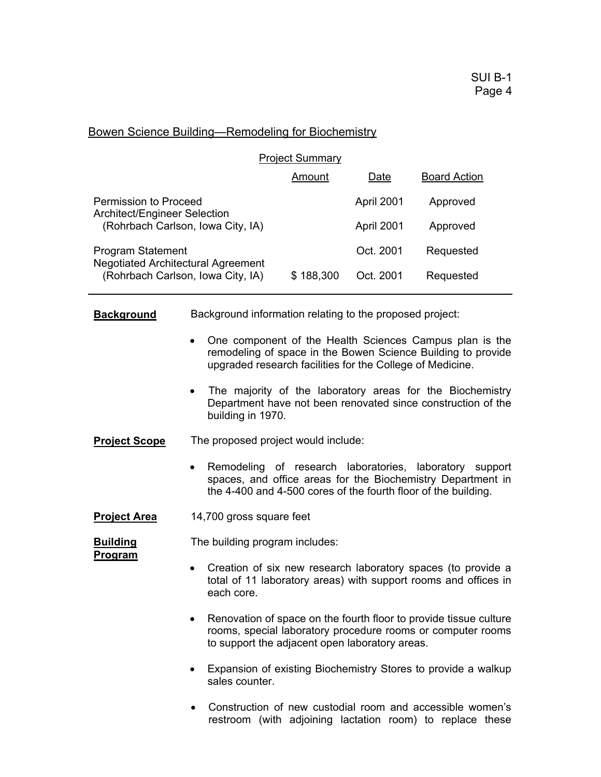#### Bowen Science Building—Remodeling for Biochemistry

| <b>Project Summary</b>                                                |           |            |                     |  |
|-----------------------------------------------------------------------|-----------|------------|---------------------|--|
|                                                                       | Amount    | Date       | <b>Board Action</b> |  |
| Permission to Proceed<br>Architect/Engineer Selection                 |           | April 2001 | Approved            |  |
| (Rohrbach Carlson, Iowa City, IA)                                     |           | April 2001 | Approved            |  |
| <b>Program Statement</b><br><b>Negotiated Architectural Agreement</b> |           | Oct. 2001  | Requested           |  |
| (Rohrbach Carlson, Iowa City, IA)                                     | \$188,300 | Oct. 2001  | Requested           |  |

**Background** Background information relating to the proposed project:

- One component of the Health Sciences Campus plan is the remodeling of space in the Bowen Science Building to provide upgraded research facilities for the College of Medicine.
- The majority of the laboratory areas for the Biochemistry Department have not been renovated since construction of the building in 1970.
- **Project Scope** The proposed project would include:
	- Remodeling of research laboratories, laboratory support spaces, and office areas for the Biochemistry Department in the 4-400 and 4-500 cores of the fourth floor of the building.
- **Project Area** 14,700 gross square feet

**Program** 

**Building The building program includes:** 

- 
- Creation of six new research laboratory spaces (to provide a total of 11 laboratory areas) with support rooms and offices in each core.
- Renovation of space on the fourth floor to provide tissue culture rooms, special laboratory procedure rooms or computer rooms to support the adjacent open laboratory areas.
- Expansion of existing Biochemistry Stores to provide a walkup sales counter.
- Construction of new custodial room and accessible women's restroom (with adjoining lactation room) to replace these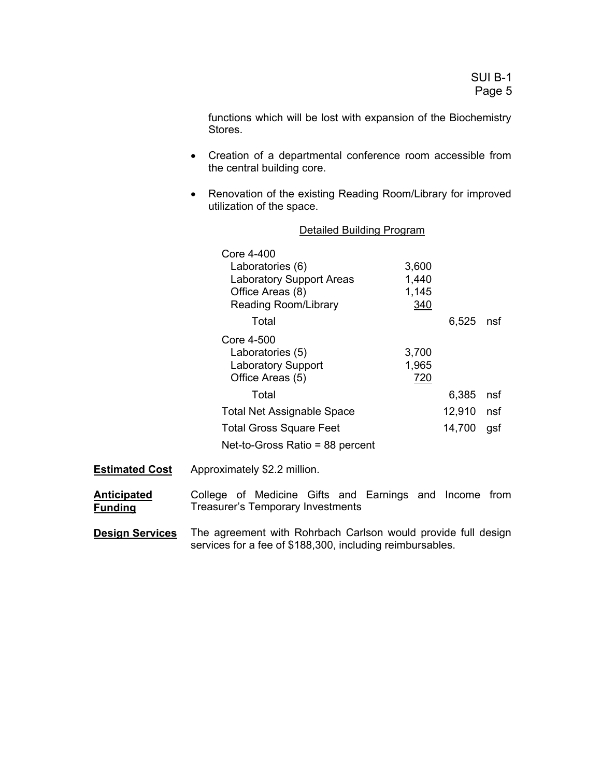functions which will be lost with expansion of the Biochemistry Stores.

- Creation of a departmental conference room accessible from the central building core.
- Renovation of the existing Reading Room/Library for improved utilization of the space.

|                       | <b>Detailed Building Program</b>                                                                                     |                                |        |     |
|-----------------------|----------------------------------------------------------------------------------------------------------------------|--------------------------------|--------|-----|
|                       | Core 4-400<br>Laboratories (6)<br><b>Laboratory Support Areas</b><br>Office Areas (8)<br><b>Reading Room/Library</b> | 3,600<br>1,440<br>1,145<br>340 |        |     |
|                       | Total                                                                                                                |                                | 6,525  | nsf |
|                       | Core 4-500<br>Laboratories (5)<br><b>Laboratory Support</b><br>Office Areas (5)                                      | 3,700<br>1,965<br>720          |        |     |
|                       | Total                                                                                                                |                                | 6,385  | nsf |
|                       | <b>Total Net Assignable Space</b>                                                                                    |                                | 12,910 | nsf |
|                       | <b>Total Gross Square Feet</b>                                                                                       |                                | 14,700 | gsf |
|                       | Net-to-Gross Ratio = 88 percent                                                                                      |                                |        |     |
| <b>Estimated Cost</b> | Approximately \$2.2 million.                                                                                         |                                |        |     |

**Anticipated Funding** College of Medicine Gifts and Earnings and Income from Treasurer's Temporary Investments

**Design Services** The agreement with Rohrbach Carlson would provide full design services for a fee of \$188,300, including reimbursables.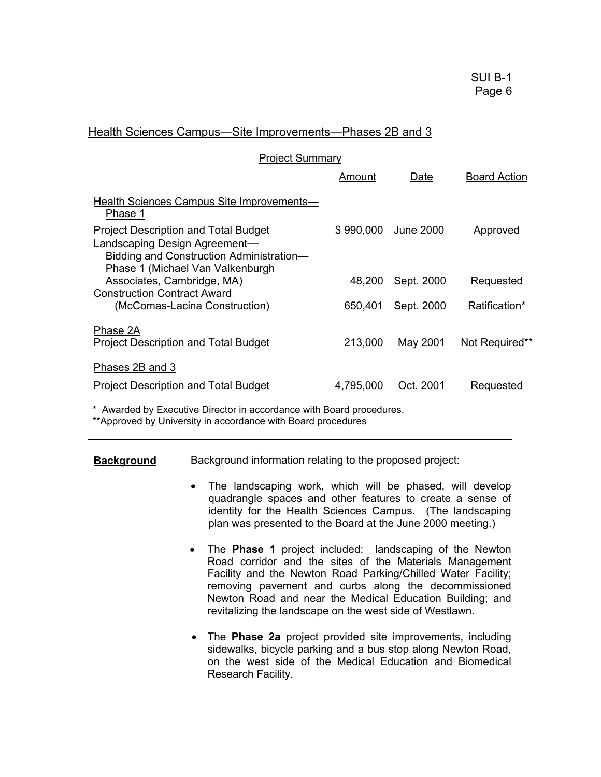#### Health Sciences Campus—Site Improvements—Phases 2B and 3

| <b>Project Summary</b>                                                                                                                                       |           |            |                     |
|--------------------------------------------------------------------------------------------------------------------------------------------------------------|-----------|------------|---------------------|
|                                                                                                                                                              | Amount    | Date       | <b>Board Action</b> |
| <b>Health Sciences Campus Site Improvements—</b><br>Phase 1                                                                                                  |           |            |                     |
| <b>Project Description and Total Budget</b><br>Landscaping Design Agreement-<br>Bidding and Construction Administration-<br>Phase 1 (Michael Van Valkenburgh | \$990,000 | June 2000  | Approved            |
| Associates, Cambridge, MA)<br><b>Construction Contract Award</b>                                                                                             | 48,200    | Sept. 2000 | Requested           |
| (McComas-Lacina Construction)                                                                                                                                | 650,401   | Sept. 2000 | Ratification*       |
| Phase 2A<br><b>Project Description and Total Budget</b>                                                                                                      | 213,000   | May 2001   | Not Required**      |
| Phases 2B and 3                                                                                                                                              |           |            |                     |
| <b>Project Description and Total Budget</b>                                                                                                                  | 4,795,000 | Oct. 2001  | Requested           |

\* Awarded by Executive Director in accordance with Board procedures. \*\*Approved by University in accordance with Board procedures

#### **Background** Background information relating to the proposed project:

- The landscaping work, which will be phased, will develop quadrangle spaces and other features to create a sense of identity for the Health Sciences Campus. (The landscaping plan was presented to the Board at the June 2000 meeting.)
- The **Phase 1** project included: landscaping of the Newton Road corridor and the sites of the Materials Management Facility and the Newton Road Parking/Chilled Water Facility; removing pavement and curbs along the decommissioned Newton Road and near the Medical Education Building; and revitalizing the landscape on the west side of Westlawn.
- The **Phase 2a** project provided site improvements, including sidewalks, bicycle parking and a bus stop along Newton Road, on the west side of the Medical Education and Biomedical Research Facility.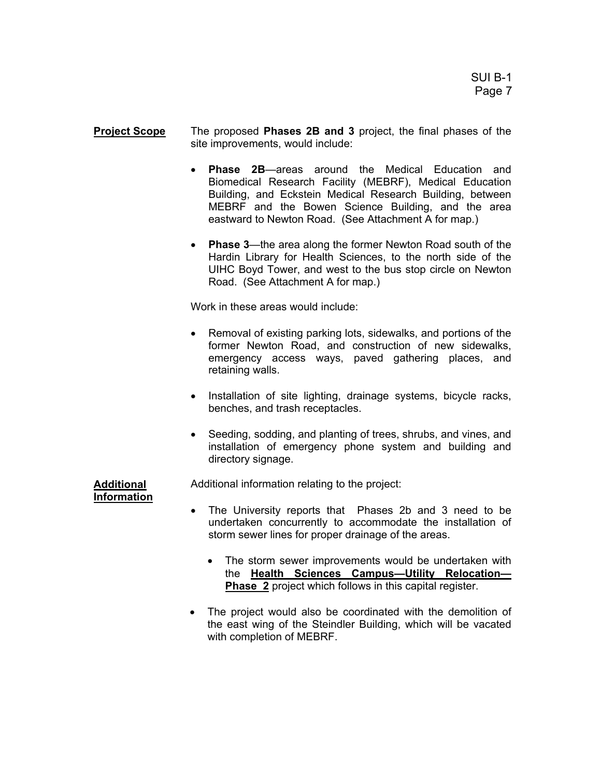**Project Scope** The proposed **Phases 2B and 3** project, the final phases of the site improvements, would include:

- **Phase 2B—areas around the Medical Education and** Biomedical Research Facility (MEBRF), Medical Education Building, and Eckstein Medical Research Building, between MEBRF and the Bowen Science Building, and the area eastward to Newton Road. (See Attachment A for map.)
- **Phase 3**—the area along the former Newton Road south of the Hardin Library for Health Sciences, to the north side of the UIHC Boyd Tower, and west to the bus stop circle on Newton Road. (See Attachment A for map.)

Work in these areas would include:

- Removal of existing parking lots, sidewalks, and portions of the former Newton Road, and construction of new sidewalks, emergency access ways, paved gathering places, and retaining walls.
- Installation of site lighting, drainage systems, bicycle racks, benches, and trash receptacles.
- Seeding, sodding, and planting of trees, shrubs, and vines, and installation of emergency phone system and building and directory signage.

**Information**

**Additional** Additional information relating to the project:

- The University reports that Phases 2b and 3 need to be undertaken concurrently to accommodate the installation of storm sewer lines for proper drainage of the areas.
	- The storm sewer improvements would be undertaken with the **Health Sciences Campus—Utility Relocation— Phase 2** project which follows in this capital register.
- The project would also be coordinated with the demolition of the east wing of the Steindler Building, which will be vacated with completion of MEBRF.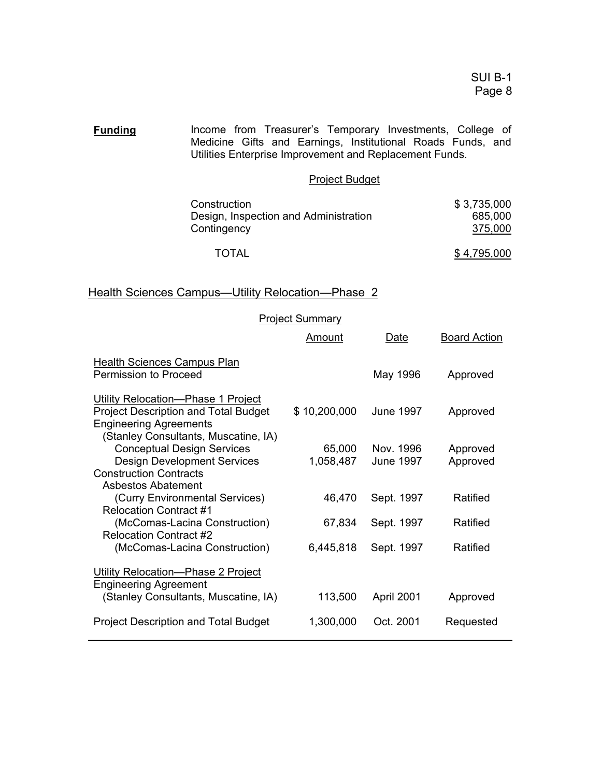**Funding** Income from Treasurer's Temporary Investments, College of Medicine Gifts and Earnings, Institutional Roads Funds, and Utilities Enterprise Improvement and Replacement Funds.

#### Project Budget

| Construction                          | \$3,735,000 |
|---------------------------------------|-------------|
| Design, Inspection and Administration | 685,000     |
| Contingency                           | 375,000     |
| <b>TOTAL</b>                          | \$4.795.000 |

## Health Sciences Campus-Utility Relocation-Phase 2

|                                                                                                                                                            | <b>Project Summary</b> |                               |                      |
|------------------------------------------------------------------------------------------------------------------------------------------------------------|------------------------|-------------------------------|----------------------|
|                                                                                                                                                            | Amount                 | Date                          | <b>Board Action</b>  |
| Health Sciences Campus Plan<br>Permission to Proceed                                                                                                       |                        | May 1996                      | Approved             |
| Utility Relocation-Phase 1 Project<br><b>Project Description and Total Budget</b><br><b>Engineering Agreements</b><br>(Stanley Consultants, Muscatine, IA) | \$10,200,000           | <b>June 1997</b>              | Approved             |
| <b>Conceptual Design Services</b><br><b>Design Development Services</b><br><b>Construction Contracts</b>                                                   | 65,000<br>1,058,487    | Nov. 1996<br><b>June 1997</b> | Approved<br>Approved |
| Asbestos Abatement<br>(Curry Environmental Services)<br><b>Relocation Contract #1</b>                                                                      | 46,470                 | Sept. 1997                    | Ratified             |
| (McComas-Lacina Construction)<br><b>Relocation Contract #2</b>                                                                                             | 67,834                 | Sept. 1997                    | Ratified             |
| (McComas-Lacina Construction)                                                                                                                              | 6,445,818              | Sept. 1997                    | Ratified             |
| Utility Relocation-Phase 2 Project<br><b>Engineering Agreement</b>                                                                                         |                        |                               |                      |
| (Stanley Consultants, Muscatine, IA)                                                                                                                       | 113,500                | April 2001                    | Approved             |
| <b>Project Description and Total Budget</b>                                                                                                                | 1,300,000              | Oct. 2001                     | Requested            |
|                                                                                                                                                            |                        |                               |                      |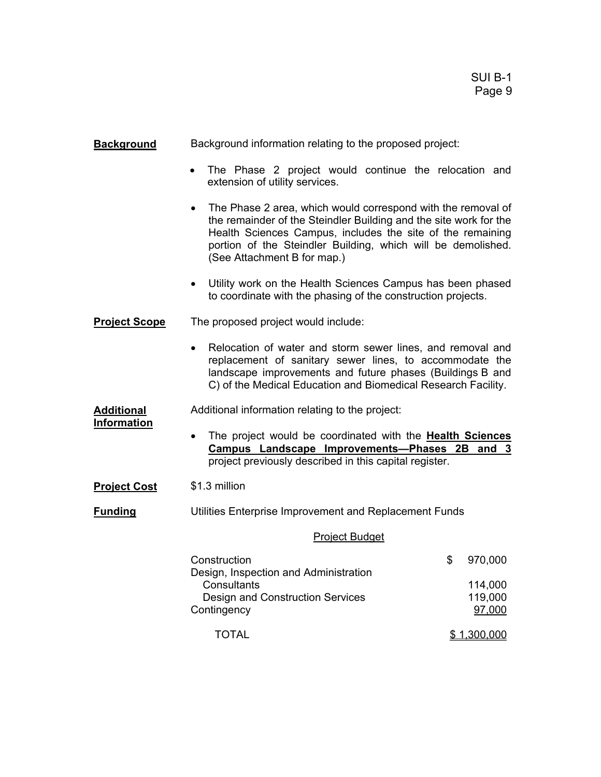| <b>Background</b>    | Background information relating to the proposed project:                                                                                                                                                                                                                                                    |  |  |  |  |
|----------------------|-------------------------------------------------------------------------------------------------------------------------------------------------------------------------------------------------------------------------------------------------------------------------------------------------------------|--|--|--|--|
|                      | The Phase 2 project would continue the relocation and<br>$\bullet$<br>extension of utility services.                                                                                                                                                                                                        |  |  |  |  |
|                      | The Phase 2 area, which would correspond with the removal of<br>$\bullet$<br>the remainder of the Steindler Building and the site work for the<br>Health Sciences Campus, includes the site of the remaining<br>portion of the Steindler Building, which will be demolished.<br>(See Attachment B for map.) |  |  |  |  |
|                      | Utility work on the Health Sciences Campus has been phased<br>$\bullet$<br>to coordinate with the phasing of the construction projects.                                                                                                                                                                     |  |  |  |  |
| <b>Project Scope</b> | The proposed project would include:                                                                                                                                                                                                                                                                         |  |  |  |  |
|                      | Relocation of water and storm sewer lines, and removal and<br>$\bullet$<br>replacement of sanitary sewer lines, to accommodate the<br>landscape improvements and future phases (Buildings B and<br>C) of the Medical Education and Biomedical Research Facility.                                            |  |  |  |  |
| <b>Additional</b>    | Additional information relating to the project:                                                                                                                                                                                                                                                             |  |  |  |  |
| <b>Information</b>   | The project would be coordinated with the Health Sciences<br>$\bullet$<br>Campus Landscape Improvements-Phases 2B<br>and $3$<br>project previously described in this capital register.                                                                                                                      |  |  |  |  |
| <b>Project Cost</b>  | \$1.3 million                                                                                                                                                                                                                                                                                               |  |  |  |  |
| <b>Funding</b>       | Utilities Enterprise Improvement and Replacement Funds                                                                                                                                                                                                                                                      |  |  |  |  |
|                      | <b>Project Budget</b>                                                                                                                                                                                                                                                                                       |  |  |  |  |
|                      | Construction<br>\$<br>970,000<br>Design, Inspection and Administration<br>Consultants<br>114,000                                                                                                                                                                                                            |  |  |  |  |
|                      | 119,000<br><b>Design and Construction Services</b><br>97,000<br>Contingency                                                                                                                                                                                                                                 |  |  |  |  |
|                      | \$1,300,000<br><b>TOTAL</b>                                                                                                                                                                                                                                                                                 |  |  |  |  |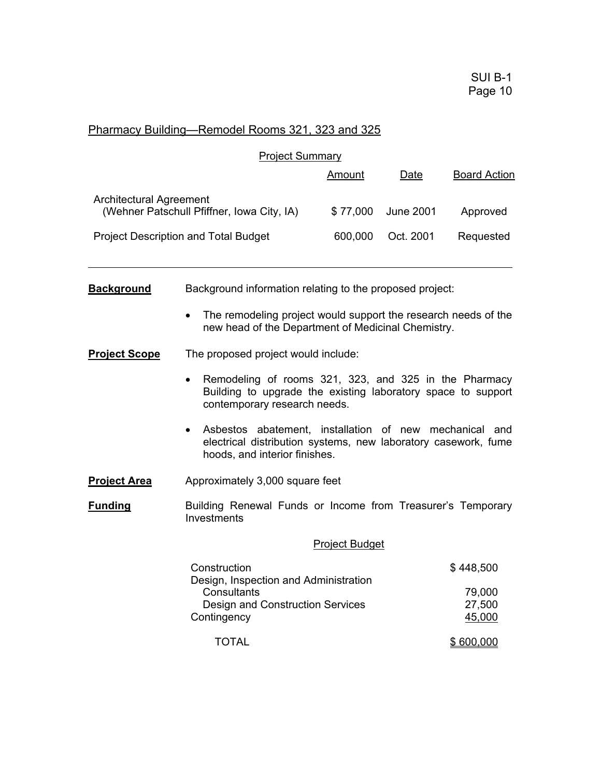## Pharmacy Building—Remodel Rooms 321, 323 and 325

|                         | <b>Project Summary</b>                                                                                                                                                 |                       |                  |                                         |
|-------------------------|------------------------------------------------------------------------------------------------------------------------------------------------------------------------|-----------------------|------------------|-----------------------------------------|
|                         |                                                                                                                                                                        | <u>Amount</u>         | Date             | <b>Board Action</b>                     |
| Architectural Agreement | (Wehner Patschull Pfiffner, Iowa City, IA)                                                                                                                             | \$77,000              | <b>June 2001</b> | Approved                                |
|                         | <b>Project Description and Total Budget</b>                                                                                                                            | 600,000               | Oct. 2001        | Requested                               |
|                         |                                                                                                                                                                        |                       |                  |                                         |
| <b>Background</b>       | Background information relating to the proposed project:                                                                                                               |                       |                  |                                         |
|                         | The remodeling project would support the research needs of the<br>new head of the Department of Medicinal Chemistry.                                                   |                       |                  |                                         |
| <b>Project Scope</b>    | The proposed project would include:                                                                                                                                    |                       |                  |                                         |
|                         | Remodeling of rooms 321, 323, and 325 in the Pharmacy<br>$\bullet$<br>Building to upgrade the existing laboratory space to support<br>contemporary research needs.     |                       |                  |                                         |
|                         | Asbestos abatement, installation of new mechanical and<br>$\bullet$<br>electrical distribution systems, new laboratory casework, fume<br>hoods, and interior finishes. |                       |                  |                                         |
| <b>Project Area</b>     | Approximately 3,000 square feet                                                                                                                                        |                       |                  |                                         |
| <b>Funding</b>          | Building Renewal Funds or Income from Treasurer's Temporary<br>Investments                                                                                             |                       |                  |                                         |
|                         |                                                                                                                                                                        | <b>Project Budget</b> |                  |                                         |
|                         | Construction<br>Design, Inspection and Administration<br>Consultants<br><b>Design and Construction Services</b><br>Contingency                                         |                       |                  | \$448,500<br>79,000<br>27,500<br>45,000 |
|                         | <b>TOTAL</b>                                                                                                                                                           |                       |                  | \$600,000                               |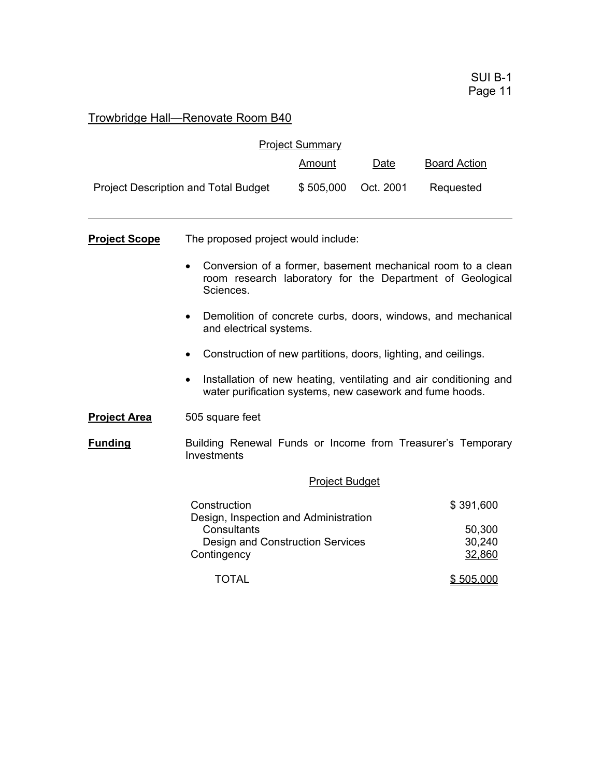# Trowbridge Hall—Renovate Room B40

|                      |                                                                                                                                       | <b>Project Summary</b> |           |                                         |  |
|----------------------|---------------------------------------------------------------------------------------------------------------------------------------|------------------------|-----------|-----------------------------------------|--|
|                      |                                                                                                                                       | <b>Amount</b>          | Date      | <b>Board Action</b>                     |  |
|                      | <b>Project Description and Total Budget</b>                                                                                           | \$505,000              | Oct. 2001 | Requested                               |  |
| <b>Project Scope</b> | The proposed project would include:                                                                                                   |                        |           |                                         |  |
|                      | Conversion of a former, basement mechanical room to a clean<br>room research laboratory for the Department of Geological<br>Sciences. |                        |           |                                         |  |
|                      | Demolition of concrete curbs, doors, windows, and mechanical<br>and electrical systems.                                               |                        |           |                                         |  |
|                      | Construction of new partitions, doors, lighting, and ceilings.<br>$\bullet$                                                           |                        |           |                                         |  |
|                      | Installation of new heating, ventilating and air conditioning and<br>water purification systems, new casework and fume hoods.         |                        |           |                                         |  |
| <b>Project Area</b>  | 505 square feet                                                                                                                       |                        |           |                                         |  |
| <b>Funding</b>       | Building Renewal Funds or Income from Treasurer's Temporary<br>Investments                                                            |                        |           |                                         |  |
|                      | <b>Project Budget</b>                                                                                                                 |                        |           |                                         |  |
|                      | Construction<br>Design, Inspection and Administration<br>Consultants<br>Design and Construction Services<br>Contingency               |                        |           | \$391,600<br>50,300<br>30,240<br>32,860 |  |
|                      | TOTAL                                                                                                                                 |                        |           | \$505,000                               |  |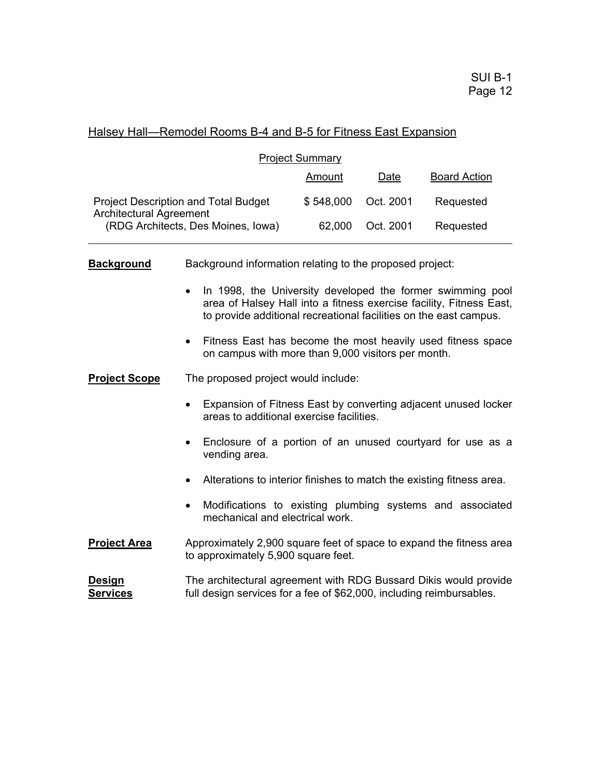#### Halsey Hall—Remodel Rooms B-4 and B-5 for Fitness East Expansion

| <b>Project Summary</b>                                                 |           |           |                     |  |
|------------------------------------------------------------------------|-----------|-----------|---------------------|--|
|                                                                        | Amount    | Date      | <b>Board Action</b> |  |
| <b>Project Description and Total Budget</b><br>Architectural Agreement | \$548,000 | Oct. 2001 | Requested           |  |
| (RDG Architects, Des Moines, Iowa)                                     | 62,000    | Oct. 2001 | Requested           |  |

**Background** Background information relating to the proposed project:

- In 1998, the University developed the former swimming pool area of Halsey Hall into a fitness exercise facility, Fitness East, to provide additional recreational facilities on the east campus.
- Fitness East has become the most heavily used fitness space on campus with more than 9,000 visitors per month.
- **Project Scope** The proposed project would include:
	- Expansion of Fitness East by converting adjacent unused locker areas to additional exercise facilities.
	- Enclosure of a portion of an unused courtyard for use as a vending area.
	- Alterations to interior finishes to match the existing fitness area.
	- Modifications to existing plumbing systems and associated mechanical and electrical work.
- **Project Area** Approximately 2,900 square feet of space to expand the fitness area to approximately 5,900 square feet.

**Design** The architectural agreement with RDG Bussard Dikis would provide **Services** full design services for a fee of \$62,000, including reimbursables.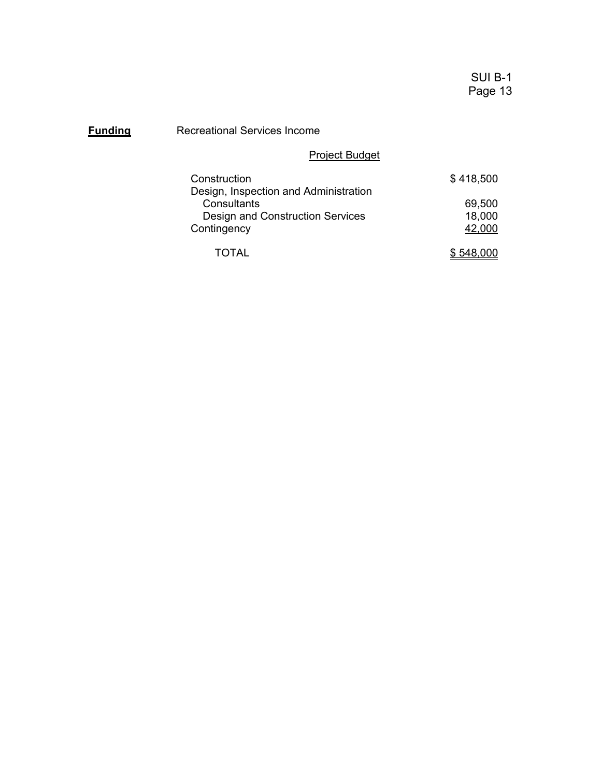## **Funding** Recreational Services Income

# Project Budget

| Construction                          | \$418,500 |
|---------------------------------------|-----------|
| Design, Inspection and Administration |           |
| Consultants                           | 69,500    |
| Design and Construction Services      | 18,000    |
| Contingency                           | 42,000    |
|                                       |           |
| TOTAL                                 | \$548.000 |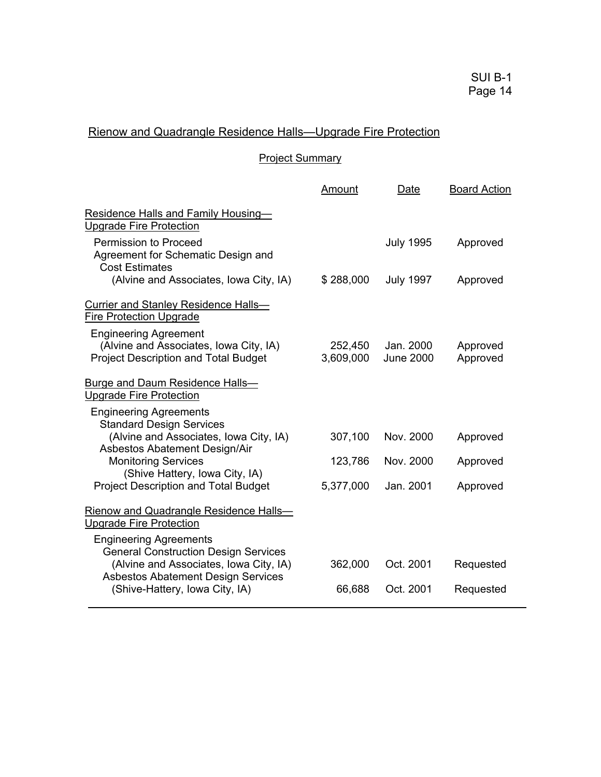# Rienow and Quadrangle Residence Halls—Upgrade Fire Protection

## Project Summary

|                                                                                                                        | Amount               | Date                          | <b>Board Action</b>  |
|------------------------------------------------------------------------------------------------------------------------|----------------------|-------------------------------|----------------------|
| Residence Halls and Family Housing-<br><b>Upgrade Fire Protection</b>                                                  |                      |                               |                      |
| Permission to Proceed<br>Agreement for Schematic Design and<br><b>Cost Estimates</b>                                   |                      | <b>July 1995</b>              | Approved             |
| (Alvine and Associates, Iowa City, IA)                                                                                 | \$288,000            | <b>July 1997</b>              | Approved             |
| <b>Currier and Stanley Residence Halls-</b><br><b>Fire Protection Upgrade</b>                                          |                      |                               |                      |
| <b>Engineering Agreement</b><br>(Alvine and Associates, Iowa City, IA)<br><b>Project Description and Total Budget</b>  | 252,450<br>3,609,000 | Jan. 2000<br><b>June 2000</b> | Approved<br>Approved |
| <b>Burge and Daum Residence Halls-</b><br><b>Upgrade Fire Protection</b>                                               |                      |                               |                      |
| <b>Engineering Agreements</b><br><b>Standard Design Services</b>                                                       |                      |                               |                      |
| (Alvine and Associates, Iowa City, IA)<br>Asbestos Abatement Design/Air                                                | 307,100              | Nov. 2000                     | Approved             |
| <b>Monitoring Services</b><br>(Shive Hattery, Iowa City, IA)                                                           | 123,786              | Nov. 2000                     | Approved             |
| <b>Project Description and Total Budget</b>                                                                            | 5,377,000            | Jan. 2001                     | Approved             |
| Rienow and Quadrangle Residence Halls-<br><b>Upgrade Fire Protection</b>                                               |                      |                               |                      |
| <b>Engineering Agreements</b><br><b>General Construction Design Services</b><br>(Alvine and Associates, Iowa City, IA) | 362,000              | Oct. 2001                     | Requested            |
| <b>Asbestos Abatement Design Services</b><br>(Shive-Hattery, Iowa City, IA)                                            | 66,688               | Oct. 2001                     | Requested            |
|                                                                                                                        |                      |                               |                      |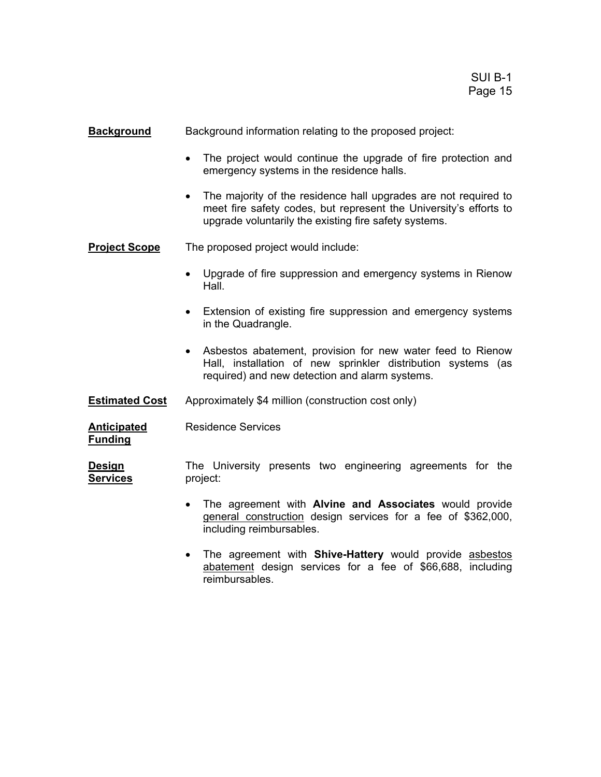**Background** Background information relating to the proposed project:

- The project would continue the upgrade of fire protection and emergency systems in the residence halls.
- The majority of the residence hall upgrades are not required to meet fire safety codes, but represent the University's efforts to upgrade voluntarily the existing fire safety systems.

**Project Scope** The proposed project would include:

- Upgrade of fire suppression and emergency systems in Rienow Hall.
- Extension of existing fire suppression and emergency systems in the Quadrangle.
- Asbestos abatement, provision for new water feed to Rienow Hall, installation of new sprinkler distribution systems (as required) and new detection and alarm systems.
- **Estimated Cost** Approximately \$4 million (construction cost only)

**Anticipated** Residence Services **Funding**

**Design The University presents two engineering agreements for the Services** project:

- The agreement with **Alvine and Associates** would provide general construction design services for a fee of \$362,000, including reimbursables.
- The agreement with **Shive-Hattery** would provide asbestos abatement design services for a fee of \$66,688, including reimbursables.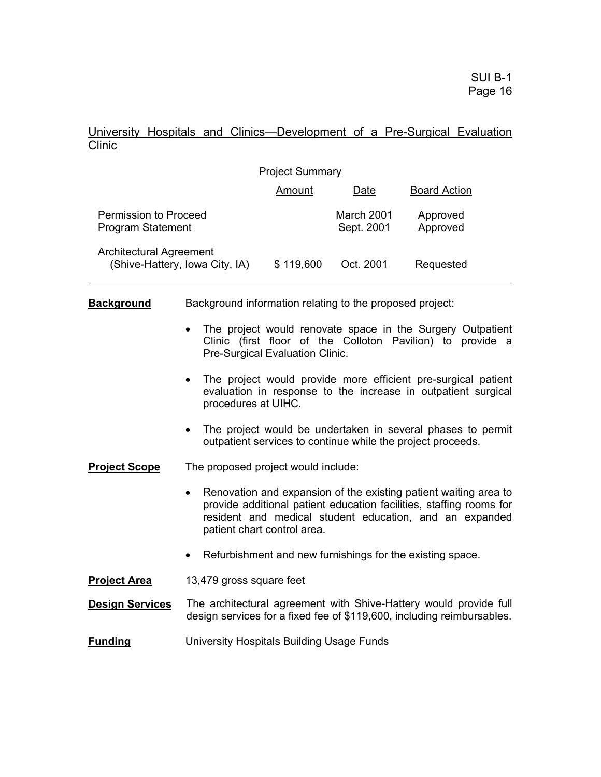### University Hospitals and Clinics—Development of a Pre-Surgical Evaluation Clinic

| <b>Project Summary</b>                                    |           |                          |                      |  |  |  |
|-----------------------------------------------------------|-----------|--------------------------|----------------------|--|--|--|
|                                                           | Amount    | Date                     | <b>Board Action</b>  |  |  |  |
| Permission to Proceed<br><b>Program Statement</b>         |           | March 2001<br>Sept. 2001 | Approved<br>Approved |  |  |  |
| Architectural Agreement<br>(Shive-Hattery, Iowa City, IA) | \$119,600 | Oct. 2001                | Requested            |  |  |  |

**Background** Background information relating to the proposed project:

- The project would renovate space in the Surgery Outpatient Clinic (first floor of the Colloton Pavilion) to provide a Pre-Surgical Evaluation Clinic.
- The project would provide more efficient pre-surgical patient evaluation in response to the increase in outpatient surgical procedures at UIHC.
- The project would be undertaken in several phases to permit outpatient services to continue while the project proceeds.
- **Project Scope** The proposed project would include:
	- Renovation and expansion of the existing patient waiting area to provide additional patient education facilities, staffing rooms for resident and medical student education, and an expanded patient chart control area.
	- Refurbishment and new furnishings for the existing space.
- **Project Area** 13,479 gross square feet
- **Design Services** The architectural agreement with Shive-Hattery would provide full design services for a fixed fee of \$119,600, including reimbursables.
- **Funding** University Hospitals Building Usage Funds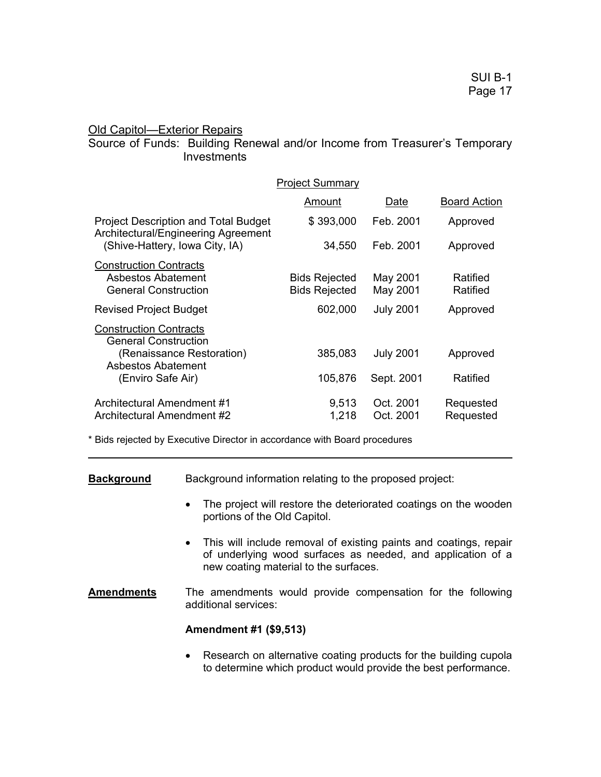#### **Old Capitol—Exterior Repairs**

#### Source of Funds: Building Renewal and/or Income from Treasurer's Temporary **Investments**

|                                                                                                                      | <b>Project Summary</b>                       |                        |                        |
|----------------------------------------------------------------------------------------------------------------------|----------------------------------------------|------------------------|------------------------|
|                                                                                                                      | Amount                                       | Date                   | <b>Board Action</b>    |
| <b>Project Description and Total Budget</b><br>Architectural/Engineering Agreement<br>(Shive-Hattery, Iowa City, IA) | \$393,000                                    | Feb. 2001              | Approved               |
|                                                                                                                      | 34,550                                       | Feb. 2001              | Approved               |
| <b>Construction Contracts</b><br>Asbestos Abatement<br><b>General Construction</b>                                   | <b>Bids Rejected</b><br><b>Bids Rejected</b> | May 2001<br>May 2001   | Ratified<br>Ratified   |
| <b>Revised Project Budget</b>                                                                                        | 602,000                                      | <b>July 2001</b>       | Approved               |
| <b>Construction Contracts</b><br><b>General Construction</b>                                                         |                                              |                        |                        |
| (Renaissance Restoration)<br>Asbestos Abatement                                                                      | 385,083                                      | <b>July 2001</b>       | Approved               |
| (Enviro Safe Air)                                                                                                    | 105,876                                      | Sept. 2001             | Ratified               |
| Architectural Amendment #1<br>Architectural Amendment #2                                                             | 9,513<br>1,218                               | Oct. 2001<br>Oct. 2001 | Requested<br>Requested |

\* Bids rejected by Executive Director in accordance with Board procedures

**Background** Background information relating to the proposed project:

- The project will restore the deteriorated coatings on the wooden portions of the Old Capitol.
- This will include removal of existing paints and coatings, repair of underlying wood surfaces as needed, and application of a new coating material to the surfaces.
- **Amendments** The amendments would provide compensation for the following additional services:

#### **Amendment #1 (\$9,513)**

• Research on alternative coating products for the building cupola to determine which product would provide the best performance.